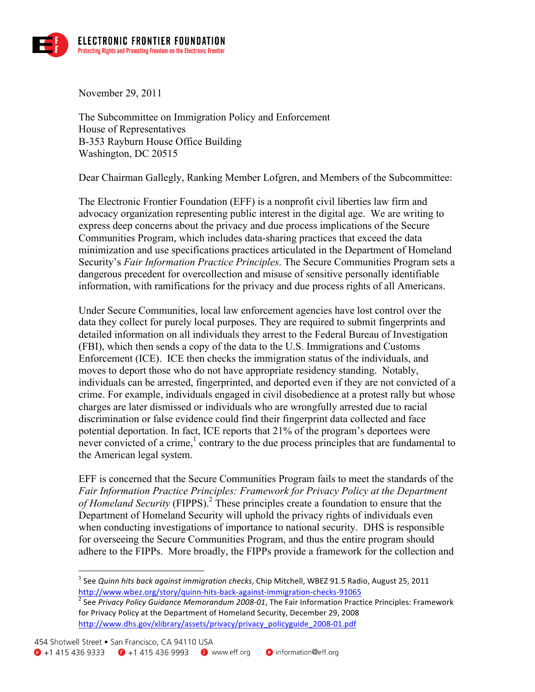

November 29, 2011

The Subcommittee on Immigration Policy and Enforcement House of Representatives B-353 Rayburn House Office Building Washington, DC 20515

Dear Chairman Gallegly, Ranking Member Lofgren, and Members of the Subcommittee:

The Electronic Frontier Foundation (EFF) is a nonprofit civil liberties law firm and advocacy organization representing public interest in the digital age. We are writing to express deep concerns about the privacy and due process implications of the Secure Communities Program, which includes data-sharing practices that exceed the data minimization and use specifications practices articulated in the Department of Homeland Security's *Fair Information Practice Principles*. The Secure Communities Program sets a dangerous precedent for overcollection and misuse of sensitive personally identifiable information, with ramifications for the privacy and due process rights of all Americans.

Under Secure Communities, local law enforcement agencies have lost control over the data they collect for purely local purposes. They are required to submit fingerprints and detailed information on all individuals they arrest to the Federal Bureau of Investigation (FBI), which then sends a copy of the data to the U.S. Immigrations and Customs Enforcement (ICE). ICE then checks the immigration status of the individuals, and moves to deport those who do not have appropriate residency standing. Notably, individuals can be arrested, fingerprinted, and deported even if they are not convicted of a crime. For example, individuals engaged in civil disobedience at a protest rally but whose charges are later dismissed or individuals who are wrongfully arrested due to racial discrimination or false evidence could find their fingerprint data collected and face potential deportation. In fact, ICE reports that 21% of the program's deportees were never convicted of a crime, $\frac{1}{2}$  contrary to the due process principles that are fundamental to the American legal system.

EFF is concerned that the Secure Communities Program fails to meet the standards of the *Fair Information Practice Principles: Framework for Privacy Policy at the Department of Homeland Security* (FIPPS).<sup>2</sup> These principles create a foundation to ensure that the Department of Homeland Security will uphold the privacy rights of individuals even when conducting investigations of importance to national security. DHS is responsible for overseeing the Secure Communities Program, and thus the entire program should adhere to the FIPPs. More broadly, the FIPPs provide a framework for the collection and

<sup>&</sup>lt;sup>1</sup> See *Quinn hits back against immigration checks*, Chip Mitchell, WBEZ 91.5 Radio, August 25, 2011 http://www.wbez.org/story/quinn-hits-back-against-immigration-checks-91065<br><sup>2</sup> See Privacy Policy Guidance Memorandum 2008-01, The Fair Information Practice Principles: Framework

for Privacy Policy at the Department of Homeland Security, December 29, 2008 http://www.dhs.gov/xlibrary/assets/privacy/privacy\_policyguide\_2008-01.pdf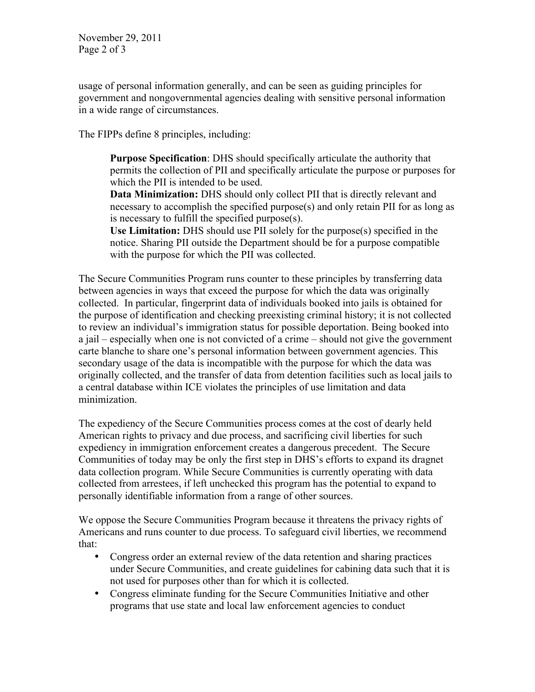November 29, 2011 Page 2 of 3

usage of personal information generally, and can be seen as guiding principles for government and nongovernmental agencies dealing with sensitive personal information in a wide range of circumstances.

The FIPPs define 8 principles, including:

**Purpose Specification**: DHS should specifically articulate the authority that permits the collection of PII and specifically articulate the purpose or purposes for which the PII is intended to be used.

**Data Minimization:** DHS should only collect PII that is directly relevant and necessary to accomplish the specified purpose(s) and only retain PII for as long as is necessary to fulfill the specified purpose(s).

**Use Limitation:** DHS should use PII solely for the purpose(s) specified in the notice. Sharing PII outside the Department should be for a purpose compatible with the purpose for which the PII was collected.

The Secure Communities Program runs counter to these principles by transferring data between agencies in ways that exceed the purpose for which the data was originally collected. In particular, fingerprint data of individuals booked into jails is obtained for the purpose of identification and checking preexisting criminal history; it is not collected to review an individual's immigration status for possible deportation. Being booked into a jail – especially when one is not convicted of a crime – should not give the government carte blanche to share one's personal information between government agencies. This secondary usage of the data is incompatible with the purpose for which the data was originally collected, and the transfer of data from detention facilities such as local jails to a central database within ICE violates the principles of use limitation and data minimization.

The expediency of the Secure Communities process comes at the cost of dearly held American rights to privacy and due process, and sacrificing civil liberties for such expediency in immigration enforcement creates a dangerous precedent. The Secure Communities of today may be only the first step in DHS's efforts to expand its dragnet data collection program. While Secure Communities is currently operating with data collected from arrestees, if left unchecked this program has the potential to expand to personally identifiable information from a range of other sources.

We oppose the Secure Communities Program because it threatens the privacy rights of Americans and runs counter to due process. To safeguard civil liberties, we recommend that:

- Congress order an external review of the data retention and sharing practices under Secure Communities, and create guidelines for cabining data such that it is not used for purposes other than for which it is collected.
- Congress eliminate funding for the Secure Communities Initiative and other programs that use state and local law enforcement agencies to conduct